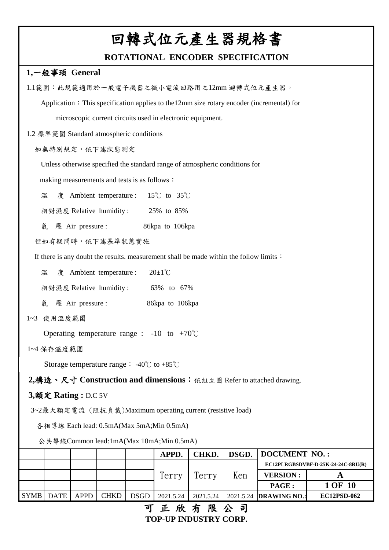### **ROTATIONAL ENCODER SPECIFICATION**

#### **1,**一般事頊 **General**

|                                                                                           |             | 可工的士阻八日         |           |       |                              |                                    |  |  |  |
|-------------------------------------------------------------------------------------------|-------------|-----------------|-----------|-------|------------------------------|------------------------------------|--|--|--|
| <b>SYMB</b><br><b>DATE</b><br><b>CHKD</b><br><b>APPD</b>                                  | <b>DSGD</b> | 2021.5.24       | 2021.5.24 |       | 2021.5.24 <b>DRAWING NO.</b> | EC12PSD-062                        |  |  |  |
|                                                                                           |             | Terry           | Terry     | Ken   | <b>VERSION:</b><br>PAGE:     | $\mathbf{A}$<br>1 OF 10            |  |  |  |
|                                                                                           |             |                 |           |       |                              | EC12PLRGBSDVBF-D-25K-24-24C-8RU(R) |  |  |  |
|                                                                                           |             | APPD.           | CHKD.     | DSGD. | <b>DOCUMENT NO.:</b>         |                                    |  |  |  |
| 公共導線Common lead:1mA(Max 10mA;Min 0.5mA)                                                   |             |                 |           |       |                              |                                    |  |  |  |
| 各相導線 Each lead: 0.5mA(Max 5mA;Min 0.5mA)                                                  |             |                 |           |       |                              |                                    |  |  |  |
| 3~2最大額定電流 (阻抗負載)Maximum operating current (resistive load)                                |             |                 |           |       |                              |                                    |  |  |  |
| 3,額定 Rating: D.C 5V                                                                       |             |                 |           |       |                              |                                    |  |  |  |
| 2.構造、尺寸 Construction and dimensions: 依組立圖 Refer to attached drawing.                      |             |                 |           |       |                              |                                    |  |  |  |
| Storage temperature range : $-40^{\circ}$ C to $+85^{\circ}$ C                            |             |                 |           |       |                              |                                    |  |  |  |
| 1~4 保存溫度範圍                                                                                |             |                 |           |       |                              |                                    |  |  |  |
| Operating temperature range : $-10$ to $+70^{\circ}$ C                                    |             |                 |           |       |                              |                                    |  |  |  |
| 1~3 使用温度範圍                                                                                |             |                 |           |       |                              |                                    |  |  |  |
| 氣 壓 Air pressure :                                                                        |             | 86kpa to 106kpa |           |       |                              |                                    |  |  |  |
| 相對濕度 Relative humidity: 63% to 67%                                                        |             |                 |           |       |                              |                                    |  |  |  |
| $20\pm1\degree C$<br>溫<br>度 Ambient temperature :                                         |             |                 |           |       |                              |                                    |  |  |  |
| If there is any doubt the results. measurement shall be made within the follow limits :   |             |                 |           |       |                              |                                    |  |  |  |
| 但如有疑問時,依下述基準狀態實施                                                                          |             |                 |           |       |                              |                                    |  |  |  |
| 氣 壓 Air pressure :                                                                        |             | 86kpa to 106kpa |           |       |                              |                                    |  |  |  |
| 相對濕度 Relative humidity: 25% to 85%                                                        |             |                 |           |       |                              |                                    |  |  |  |
| $\textcircled{f}$ Ambient temperature : 15°C to 35°C<br>溫                                 |             |                 |           |       |                              |                                    |  |  |  |
| making measurements and tests is as follows:                                              |             |                 |           |       |                              |                                    |  |  |  |
| Unless otherwise specified the standard range of atmospheric conditions for               |             |                 |           |       |                              |                                    |  |  |  |
| 如無特別規定,依下述狀態測定                                                                            |             |                 |           |       |                              |                                    |  |  |  |
|                                                                                           |             |                 |           |       |                              |                                    |  |  |  |
| 1.2 標準範圍 Standard atmospheric conditions                                                  |             |                 |           |       |                              |                                    |  |  |  |
| microscopic current circuits used in electronic equipment.                                |             |                 |           |       |                              |                                    |  |  |  |
| Application: This specification applies to the 12mm size rotary encoder (incremental) for |             |                 |           |       |                              |                                    |  |  |  |
| 1.1範圍:此規範適用於一般電子機器之微小電流回路用之12mm 迴轉式位元產生器。                                                 |             |                 |           |       |                              |                                    |  |  |  |

#### **TOP-UP INDUSTRY CORP.** 可正欣有限公司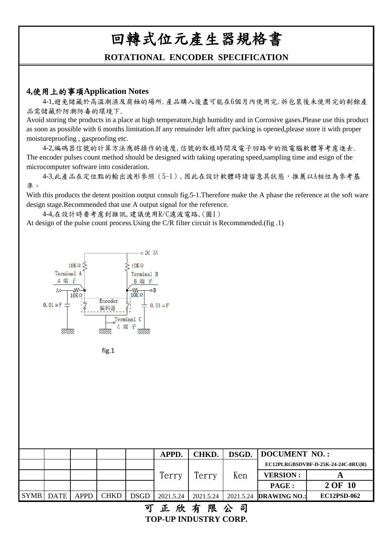#### **ROTATIONAL ENCODER SPECIFICATION**

#### **4,**使用上的事項**Application Notes**

 4-1,避免儲藏於高溫潮濕及腐蝕的場所.產品購入後盡可能在6個月內使用完.拆包裝後未使用完的剩餘產 品需儲藏於防潮防毒的環境下.

Avoid storing the products in a place at high temperature,high humidity and in Corrosive gases.Please use this product as soon as possible with 6 months limitation.If any remainder left after packing is opened,please store it with proper moistureproofing , gasproofing etc.

 4-2,編碼器信號的計算方法應將操作的速度,信號的取樣時間及電子回路中的微電腦軟體等考慮進去. The encoder pulses count method should be designed with taking operating speed,sampling time and esign of the microcomputer software into cosideration.

 4-3,此產品在定位點的輸出波形參照(5-1),因此在設計軟體時請留意其狀態,推薦以A相位為參考基 準。

With this products the detent position output consult fig.5-1. Therefore make the A phase the reference at the soft ware design stage.Recommended that use A output signal for the reference.

 4-4,在設計時要考慮到雜訊,建議使用R/C濾波電路,(圖1) At design of the pulse count process.Using the C/R filter circuit is Recommended.(fig .1)





|           |             |             |             | <b>APPD</b> | <b>CHKD.</b> |     | <b>DSGD.</b> DOCUMENT NO.:         |                    |  |  |
|-----------|-------------|-------------|-------------|-------------|--------------|-----|------------------------------------|--------------------|--|--|
|           |             |             |             |             |              |     | EC12PLRGBSDVBF-D-25K-24-24C-8RU(R) |                    |  |  |
|           |             |             |             | Terry       | Terry        | Ken | <b>VERSION:</b>                    |                    |  |  |
|           |             |             |             |             |              |     | PAGE :                             | 2 OF 10            |  |  |
| SYMB DATE | <b>APPD</b> | <b>CHKD</b> | <b>DSGD</b> | 2021.5.24   | 2021.5.24    |     | 2021.5.24 <b>DRAWING NO.:</b>      | <b>EC12PSD-062</b> |  |  |

可正欣有限公司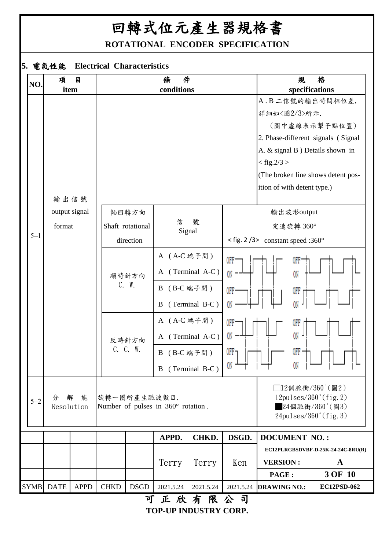**ROTATIONAL ENCODER SPECIFICATION**

## **5.** 電氣性能 **Electrical Characteristics**

| NO.         | 項               | 目             |  |             |                  | 件<br>條                             |                               |                                                    | 規                            | 格                                                     |  |
|-------------|-----------------|---------------|--|-------------|------------------|------------------------------------|-------------------------------|----------------------------------------------------|------------------------------|-------------------------------------------------------|--|
|             |                 | item          |  |             |                  | conditions                         |                               |                                                    |                              | specifications                                        |  |
|             |                 |               |  |             |                  |                                    |                               |                                                    |                              | A. B 二信號的輸出時間相位差,                                     |  |
|             |                 |               |  |             |                  |                                    |                               |                                                    | 詳細如<圖2/3>所示.                 |                                                       |  |
|             |                 |               |  |             |                  |                                    |                               |                                                    |                              | (圖中虛線表示掣子點位置)                                         |  |
|             |                 |               |  |             |                  |                                    |                               |                                                    |                              | 2. Phase-different signals (Signal                    |  |
|             |                 |               |  |             |                  |                                    |                               |                                                    |                              | A. & signal B ) Details shown in                      |  |
|             |                 |               |  |             |                  |                                    |                               |                                                    | $<$ fig.2/3 $>$              |                                                       |  |
|             |                 |               |  |             |                  |                                    |                               |                                                    |                              | (The broken line shows detent pos-                    |  |
|             |                 |               |  |             |                  |                                    |                               |                                                    | ition of with detent type.)  |                                                       |  |
|             |                 | 輸出信號          |  |             |                  |                                    |                               |                                                    |                              |                                                       |  |
|             |                 | output signal |  |             | 軸回轉方向            |                                    |                               |                                                    | 輸出波形output                   |                                                       |  |
|             | format          |               |  |             | Shaft rotational | 信<br>Signal                        | 號                             |                                                    | 定速旋轉 360°                    |                                                       |  |
| $5 - 1$     |                 |               |  | direction   |                  |                                    |                               | $\langle$ fig. 2/3> constant speed :360 $^{\circ}$ |                              |                                                       |  |
|             |                 |               |  |             |                  | A (A-C 端子間)                        |                               | 0FF                                                | 0FF                          |                                                       |  |
|             |                 |               |  |             | 順時針方向            |                                    | A (Terminal A-C)              | ON,                                                | ON                           |                                                       |  |
|             |                 |               |  |             | C. W.            | B (B-C 端子間)                        |                               | 0FF                                                | 0FF                          |                                                       |  |
|             |                 |               |  |             |                  | B                                  | (Terminal B-C)                |                                                    | ON                           |                                                       |  |
|             |                 |               |  |             |                  | A (A-C 端子間)                        |                               | 0FF                                                | 0FF                          |                                                       |  |
|             |                 |               |  |             | 反時針方向            |                                    | A (Terminal A-C)              | ON                                                 | ON.                          |                                                       |  |
|             |                 |               |  |             | C. C. W.         | B (B-C 端子間)                        |                               | OFF.                                               |                              |                                                       |  |
|             |                 |               |  |             |                  |                                    |                               | $\overline{0}$ N $\overline{+}$                    | ON.                          |                                                       |  |
|             |                 |               |  |             |                  |                                    | B (Terminal B-C)              |                                                    |                              |                                                       |  |
|             |                 |               |  |             |                  |                                    |                               |                                                    |                              | □12個脈衝/360 $^{\circ}$ (圖2)                            |  |
| $5 - 2$     | 分<br>Resolution | 解<br>能        |  |             | 旋轉一圈所產生脈波數目.     | Number of pulses in 360° rotation. |                               |                                                    |                              | 12pulses/360°(fig. 2)<br>$24$ 個脈衝/360 $^{\circ}$ (圖3) |  |
|             |                 |               |  |             |                  |                                    |                               |                                                    |                              | $24 \text{pulses}/360^{\circ}$ (fig. 3)               |  |
|             |                 |               |  |             |                  |                                    |                               |                                                    |                              |                                                       |  |
|             |                 |               |  |             |                  | APPD.                              | CHKD.                         | DSGD.                                              | <b>DOCUMENT NO.:</b>         |                                                       |  |
|             |                 |               |  |             |                  |                                    |                               |                                                    |                              | EC12PLRGBSDVBF-D-25K-24-24C-8RU(R)                    |  |
|             |                 |               |  |             |                  | Terry                              | Terry                         | Ken                                                | <b>VERSION:</b>              | $\mathbf A$                                           |  |
| <b>SYMB</b> | <b>DATE</b>     | <b>APPD</b>   |  | <b>CHKD</b> | <b>DSGD</b>      | 2021.5.24                          | 2021.5.24                     | 2021.5.24                                          | PAGE:<br><b>DRAWING NO.:</b> | 3 OF 10<br>EC12PSD-062                                |  |
|             |                 |               |  |             | $\tau$           | $\overline{L}$                     | $\overline{+}$ $\overline{m}$ | ハ コ                                                |                              |                                                       |  |

**TOP-UP INDUSTRY CORP.** 可正欣有限公司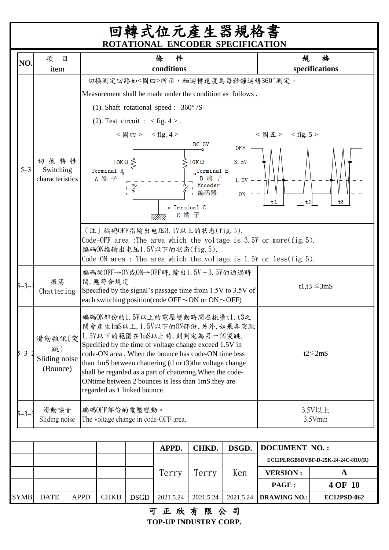## 回轉式位元產生器規格書 **ROTATIONAL ENCODER SPECIFICATION**

| NO.         | 項                                    | 目           |                                                                            |                                                                                                                                                                                                                          |                        | 件<br>條                                                                                                                                                                                                                                                                                                                                                                                                    |                                                                |                                   | 規                                | 格                                  |  |
|-------------|--------------------------------------|-------------|----------------------------------------------------------------------------|--------------------------------------------------------------------------------------------------------------------------------------------------------------------------------------------------------------------------|------------------------|-----------------------------------------------------------------------------------------------------------------------------------------------------------------------------------------------------------------------------------------------------------------------------------------------------------------------------------------------------------------------------------------------------------|----------------------------------------------------------------|-----------------------------------|----------------------------------|------------------------------------|--|
|             | item                                 |             |                                                                            |                                                                                                                                                                                                                          |                        | conditions                                                                                                                                                                                                                                                                                                                                                                                                |                                                                |                                   | 切換測定回路如<圖四>所示,軸迴轉速度為每秒鐘迴轉360°測定。 | specifications                     |  |
|             |                                      |             |                                                                            |                                                                                                                                                                                                                          |                        | Measurement shall be made under the condition as follows.                                                                                                                                                                                                                                                                                                                                                 |                                                                |                                   |                                  |                                    |  |
|             |                                      |             |                                                                            |                                                                                                                                                                                                                          |                        | (1). Shaft rotational speed : $360^{\circ}/S$                                                                                                                                                                                                                                                                                                                                                             |                                                                |                                   |                                  |                                    |  |
|             |                                      |             |                                                                            | (2). Test circuit : $\langle$ fig. 4 >.                                                                                                                                                                                  |                        |                                                                                                                                                                                                                                                                                                                                                                                                           |                                                                |                                   |                                  |                                    |  |
|             |                                      |             |                                                                            |                                                                                                                                                                                                                          | $<$ 圖 四 > $<$ fig. 4 > |                                                                                                                                                                                                                                                                                                                                                                                                           |                                                                |                                   | <圖五> <fig.5></fig.5>             |                                    |  |
| $5 - 3$     | 切换特性<br>Switching<br>characteristics |             |                                                                            | $10K\,\Omega$<br>Terminal A<br>A 端子                                                                                                                                                                                      |                        | o Terminal C<br>C 端 子                                                                                                                                                                                                                                                                                                                                                                                     | DC 5V<br>$10K\,\Omega$<br>Terminal B<br>B 端子<br>Encoder<br>编码器 | OFF<br>3.5V<br>$1.5V -$<br>$ON -$ | t <sub>2</sub><br>t 1            | t3                                 |  |
|             |                                      |             |                                                                            | $($ 注) 编码OFF指输出电压 $3.5$ V以上的状态 $(fig.5)$ .<br>Code-OFF area : The area which the voltage is 3.5V or more $(fig. 5)$ .<br>编码ON指输出电压1.5V以下的状态(fig.5).<br>Code-ON area : The area which the voltage is 1.5V or less(fig.5). |                        |                                                                                                                                                                                                                                                                                                                                                                                                           |                                                                |                                   |                                  |                                    |  |
| 5—3–        | 振荡<br>Chattering                     |             |                                                                            | 間. 應符合規定                                                                                                                                                                                                                 |                        | 編碼從OFF→ON或ON→OFF時,輸出1.5V~3.5V的通過時<br>Specified by the signal's passage time from 1.5V to 3.5V of<br>each switching position(code OFF $\sim$ ON or ON $\sim$ OFF)                                                                                                                                                                                                                                          |                                                                |                                   | t1,t3 $\leq$ 3mS                 |                                    |  |
| 5—3—        | 跳)<br>Sliding noise<br>(Bounce)      |             |                                                                            | regarded as 1 linked bounce.                                                                                                                                                                                             |                        | 編碼ON部份的1.5V以上的電壓變動時間在振盪tl,t3之<br>間會產生1mS以上, 1.5V以下的ON部份. 另外, 如果各突跳<br>滑動雜訊(突 1.5V以下的範圍在1mS以上時,則判定為另一個突跳.<br>Specified by the time of voltage change exceed 1.5V in<br>code-ON area. When the bounce has code-ON time less<br>than 1mS between chattering (tl or t3) the voltage change<br>shall be regarded as a part of chattering. When the code-<br>ONtime between 2 bounces is less than 1mS.they are |                                                                |                                   |                                  | $t2 \leq 2mS$                      |  |
| 5—3—.       | 滑動噪音<br>Sliding noise                |             | 編碼OFF部份的電壓變動。<br>3.5V以上<br>The voltage change in code-OFF area.<br>3.5Vmin |                                                                                                                                                                                                                          |                        |                                                                                                                                                                                                                                                                                                                                                                                                           |                                                                |                                   |                                  |                                    |  |
|             |                                      |             |                                                                            |                                                                                                                                                                                                                          |                        | APPD.                                                                                                                                                                                                                                                                                                                                                                                                     | CHKD.                                                          | DSGD.                             | <b>DOCUMENT NO.:</b>             |                                    |  |
|             |                                      |             |                                                                            |                                                                                                                                                                                                                          |                        |                                                                                                                                                                                                                                                                                                                                                                                                           |                                                                |                                   |                                  | EC12PLRGBSDVBF-D-25K-24-24C-8RU(R) |  |
|             |                                      |             |                                                                            |                                                                                                                                                                                                                          |                        | Terry                                                                                                                                                                                                                                                                                                                                                                                                     | Terry                                                          | Ken                               | <b>VERSION:</b>                  | $\mathbf A$                        |  |
|             |                                      |             |                                                                            |                                                                                                                                                                                                                          |                        |                                                                                                                                                                                                                                                                                                                                                                                                           |                                                                |                                   | PAGE:                            | 4 OF 10                            |  |
| <b>SYMB</b> | <b>DATE</b>                          | <b>APPD</b> |                                                                            | <b>CHKD</b>                                                                                                                                                                                                              | <b>DSGD</b>            | 2021.5.24                                                                                                                                                                                                                                                                                                                                                                                                 | 2021.5.24                                                      | 2021.5.24                         | <b>DRAWING NO.:</b>              | EC12PSD-062                        |  |

可正欣有限公司 **TOP-UP INDUSTRY CORP.**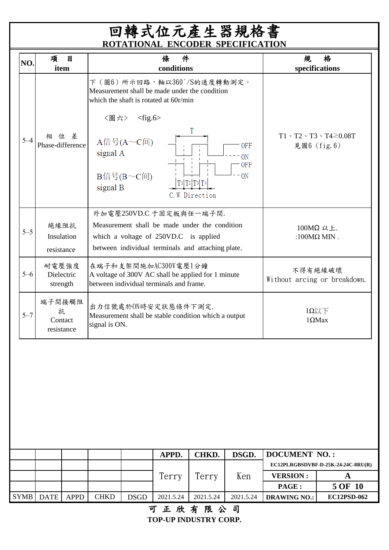## 回轉式位元產生器規格書 **ROTATIONAL ENCODER SPECIFICATION**

| NO.                                                                                                                                                                                                                                                       | 項<br>item                            | 目           |                          |                               | 條<br>件<br>conditions                                            |                                                                                |           | 規                                       | 格<br>specifications |  |  |
|-----------------------------------------------------------------------------------------------------------------------------------------------------------------------------------------------------------------------------------------------------------|--------------------------------------|-------------|--------------------------|-------------------------------|-----------------------------------------------------------------|--------------------------------------------------------------------------------|-----------|-----------------------------------------|---------------------|--|--|
|                                                                                                                                                                                                                                                           |                                      |             | 〈圖六〉                     | $<$ fig.6>                    | which the shaft is rotated at 60r/min                           | 下 ( 圖6) 所示回路,軸以360°/S的速度轉動測定。<br>Measurement shall be made under the condition |           |                                         |                     |  |  |
| $T1 \cdot T2 \cdot T3 \cdot T4 \geq 0.08T$<br>相位差<br>$5 - 4$<br>$A($ 信号 $(A \sim C)$ 间<br>Phase-difference<br>見圖6 (fig. 6)<br>0FF<br>signal A<br>0N<br><b>OFF</b>                                                                                         |                                      |             |                          |                               |                                                                 |                                                                                |           |                                         |                     |  |  |
|                                                                                                                                                                                                                                                           |                                      |             | signal B                 | $B($ a $\div$ $C($ $\bar{E})$ |                                                                 | T1 T2 T3 T4<br>C. W Direction                                                  | 0N        |                                         |                     |  |  |
| 外加電壓250VD.C 于固定板與任一端子間.<br>Measurement shall be made under the condition<br>絕緣阻抗<br>100MΩ 以上.<br>$5 - 5$<br>Insulation<br>:100 $M\Omega$ MIN.<br>which a voltage of 250VD.C is applied<br>between individual terminals and attaching plate.<br>resistance |                                      |             |                          |                               |                                                                 |                                                                                |           |                                         |                     |  |  |
| $5 - 6$                                                                                                                                                                                                                                                   | 耐電壓強度<br>Dielectric<br>strength      |             |                          |                               | 在端子和支架間施加AC300V電壓1分鐘<br>between individual terminals and frame. | A voltage of 300V AC shall be applied for 1 minute                             |           | 不得有絕緣破壞<br>Without arcing or breakdown. |                     |  |  |
| $5 - 7$                                                                                                                                                                                                                                                   | 端子間接觸阻<br>抗<br>Contact<br>resistance |             | signal is ON.            |                               | 出力信號處於ON時安定狀態條件下測定.                                             | Measurement shall be stable condition which a output                           |           | $1\Omega$ 以下<br>$1\Omega$ Max           |                     |  |  |
|                                                                                                                                                                                                                                                           |                                      |             |                          |                               |                                                                 |                                                                                |           |                                         |                     |  |  |
|                                                                                                                                                                                                                                                           |                                      |             |                          |                               |                                                                 |                                                                                |           |                                         |                     |  |  |
|                                                                                                                                                                                                                                                           |                                      |             |                          |                               | APPD.                                                           | CHKD.                                                                          | DSGD.     | <b>DOCUMENT NO.:</b>                    |                     |  |  |
|                                                                                                                                                                                                                                                           |                                      |             |                          |                               |                                                                 |                                                                                |           | EC12PLRGBSDVBF-D-25K-24-24C-8RU(R)      |                     |  |  |
| Terry<br>Terry<br>Ken                                                                                                                                                                                                                                     |                                      |             | <b>VERSION:</b><br>PAGE: | $\mathbf{A}$<br>5 OF 10       |                                                                 |                                                                                |           |                                         |                     |  |  |
| <b>SYMB</b>                                                                                                                                                                                                                                               | <b>DATE</b>                          | <b>APPD</b> | <b>CHKD</b>              | <b>DSGD</b>                   | 2021.5.24                                                       | 2021.5.24                                                                      | 2021.5.24 | <b>DRAWING NO.:</b>                     | <b>EC12PSD-062</b>  |  |  |

## 可正欣有限公司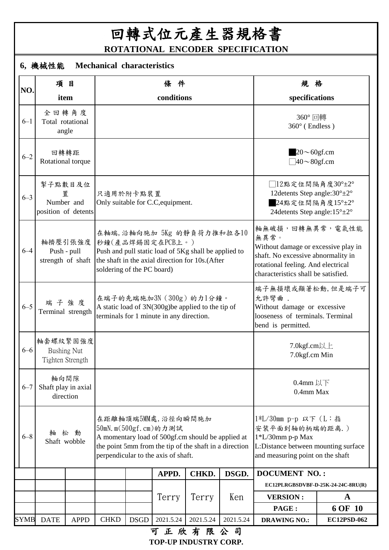回轉式位元產生器規格書 **ROTATIONAL ENCODER SPECIFICATION**

## **6,** 機械性能 **Mechanical characteristics**

|             | 項目                                                 |             |                            |             | 條件                                                                                                                                                                                                 |           |           | 規格                                                                                                                                                                                |                        |  |
|-------------|----------------------------------------------------|-------------|----------------------------|-------------|----------------------------------------------------------------------------------------------------------------------------------------------------------------------------------------------------|-----------|-----------|-----------------------------------------------------------------------------------------------------------------------------------------------------------------------------------|------------------------|--|
| NO.         | item                                               |             |                            |             | conditions                                                                                                                                                                                         |           |           | specifications                                                                                                                                                                    |                        |  |
| $6 - 1$     | 全回轉角度<br>Total rotational<br>angle                 |             |                            |             |                                                                                                                                                                                                    |           |           | 360°回轉<br>360° (Endless)                                                                                                                                                          |                        |  |
| $6 - 2$     | 回轉轉距<br>Rotational torque                          |             |                            |             |                                                                                                                                                                                                    |           |           | $20 \sim 60$ gf.cm<br>$\frac{1}{40}$ ~ 80gf.cm                                                                                                                                    |                        |  |
| $6 - 3$     | 掣子點數目及位<br>置<br>Number and<br>position of detents  |             | 只適用於附卡點裝置                  |             | Only suitable for C.C, equipment.                                                                                                                                                                  |           |           | □12點定位間隔角度30°±2°<br>12 detents Step angle: $30^{\circ} \pm 2^{\circ}$<br>$24$ 點定位間隔角度15°±2°<br>24 detents Step angle: $15^{\circ} \pm 2^{\circ}$                                  |                        |  |
| $6 - 4$     | 軸擠壓引張強度<br>Push - pull<br>strength of shaft        |             | soldering of the PC board) |             | 在軸端,沿軸向施加 5Kg 的静負荷力推和拉各10<br>秒鐘(產品焊錫固定在PCB上。)<br>Push and pull static load of 5Kg shall be applied to<br>the shaft in the axial direction for 10s.(After                                           |           |           | 軸無破損,回轉無異常,電氣性能<br>無異常。<br>Without damage or excessive play in<br>shaft. No excessive abnormality in<br>rotational feeling. And electrical<br>characteristics shall be satisfied. |                        |  |
| $6 - 5$     | 端子強度<br>Terminal strength                          |             |                            |             | 在端子的先端施加3N (300g) 的力1分鐘。<br>A static load of 3N(300g)be applied to the tip of<br>terminals for 1 minute in any direction.                                                                          |           |           | 端子無損壞或顯著松動,但是端子可<br>允許彎曲.<br>Without damage or excessive<br>looseness of terminals. Terminal<br>bend is permitted.                                                                |                        |  |
| $6 - 6$     | 軸套螺紋緊固強度<br><b>Bushing Nut</b><br>Tighten Strength |             |                            |             |                                                                                                                                                                                                    |           |           | 7.0kgf.cm以上<br>7.0kgf.cm Min                                                                                                                                                      |                        |  |
| $6 - 7$     | 軸向間隙<br>Shaft play in axial<br>direction           |             |                            |             |                                                                                                                                                                                                    |           |           | $0.4$ mm 以下<br>0.4mm Max                                                                                                                                                          |                        |  |
| $6 - 8$     | 軸<br>Shaft wobble                                  | 松 動         |                            |             | 在距離軸頂端5MM處,沿徑向瞬間施加<br>50mN. m(500gf. cm)的力測試<br>A momentary load of 500gf.cm should be applied at<br>the point 5mm from the tip of the shaft in a direction<br>perpendicular to the axis of shaft. |           |           | 1*L/30mm p-p 以下 (L:指<br>安装平面到轴的柄端的距离.)<br>$1*L/30$ mm p-p Max<br>L:Distance between mounting surface<br>and measuring point on the shaft                                          |                        |  |
|             |                                                    |             |                            |             | APPD.                                                                                                                                                                                              | CHKD.     | DSGD.     | <b>DOCUMENT NO.:</b>                                                                                                                                                              |                        |  |
|             |                                                    |             |                            |             |                                                                                                                                                                                                    |           |           | EC12PLRGBSDVBF-D-25K-24-24C-8RU(R)                                                                                                                                                |                        |  |
|             |                                                    |             |                            |             | Terry                                                                                                                                                                                              | Terry     | Ken       | <b>VERSION:</b><br>PAGE:                                                                                                                                                          | $\mathbf A$<br>6 OF 10 |  |
| <b>SYMB</b> | <b>DATE</b>                                        | <b>APPD</b> | <b>CHKD</b>                | <b>DSGD</b> | 2021.5.24                                                                                                                                                                                          | 2021.5.24 | 2021.5.24 | <b>DRAWING NO.:</b>                                                                                                                                                               | EC12PSD-062            |  |
|             |                                                    |             |                            |             | 可正欣有限公司                                                                                                                                                                                            |           |           |                                                                                                                                                                                   |                        |  |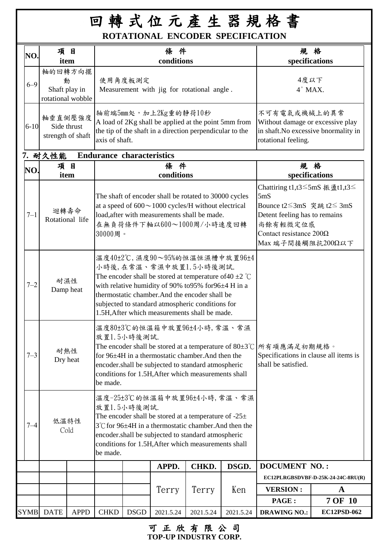## 回 轉 式 位 元 產 生 器 規 格 書 **ROTATIONAL ENCODER SPECIFICATION**

| NO.      | 項目                                                 |             |                                  |             | 條件                                                                                                                                                                                                                                                                                                                                    |           |           |                                                                                                                                                                                                             | 規格                                 |  |
|----------|----------------------------------------------------|-------------|----------------------------------|-------------|---------------------------------------------------------------------------------------------------------------------------------------------------------------------------------------------------------------------------------------------------------------------------------------------------------------------------------------|-----------|-----------|-------------------------------------------------------------------------------------------------------------------------------------------------------------------------------------------------------------|------------------------------------|--|
|          | item                                               |             |                                  |             | conditions                                                                                                                                                                                                                                                                                                                            |           |           |                                                                                                                                                                                                             | specifications                     |  |
| $6 - 9$  | 軸的回轉方向擺<br>動<br>Shaft play in<br>rotational wobble |             |                                  | 使用角度板測定     | Measurement with jig for rotational angle.                                                                                                                                                                                                                                                                                            |           |           | 4度以下<br>$4°$ MAX.                                                                                                                                                                                           |                                    |  |
| $6 - 10$ | 軸垂直側壓強度<br>Side thrust<br>strength of shaft        |             | axis of shaft.                   |             | 轴前端5mm处,加上2Kg重的静荷10秒<br>A load of 2Kg shall be applied at the point 5mm from<br>the tip of the shaft in a direction perpendicular to the                                                                                                                                                                                              |           |           | 不可有電氣或機械上的異常<br>Without damage or excessive play<br>in shaft. No excessive bnormality in<br>rotational feeling.                                                                                             |                                    |  |
|          | 7. 耐久性能                                            |             | <b>Endurance characteristics</b> |             |                                                                                                                                                                                                                                                                                                                                       |           |           |                                                                                                                                                                                                             |                                    |  |
| NO.      | 項目<br>item                                         |             |                                  |             | 條件<br>conditions                                                                                                                                                                                                                                                                                                                      |           |           | 規格<br>specifications                                                                                                                                                                                        |                                    |  |
| $7 - 1$  | 迴轉壽命<br>Rotational life                            |             | 30000周。                          |             | The shaft of encoder shall be rotated to 30000 cycles<br>at a speed of $600 \sim 1000$ cycles/H without electrical<br>load, after with measurements shall be made.<br>在無負荷條件下軸以600~1000周/小時速度回轉                                                                                                                                       |           |           | Chattiring t1,t3≤5mS 振盪t1,t3≤<br>5 <sub>m</sub> S<br>Bounce t2 $\leq$ 3mS $\tilde{x}$ and t2 $\leq$ 3mS<br>Detent feeling has to remains<br>尚餘有輕微定位感<br>Contact resistance $200\Omega$<br>Max 端子間接觸阻抗200Ω以下 |                                    |  |
| $7 - 2$  | 耐濕性<br>Damp heat                                   |             |                                  |             | 溫度40±2℃,濕度90~95%的恒溫恒濕槽中放置96±4<br>小時後,在常溫、常濕中放置1.5小時後測試.<br>The encoder shall be stored at temperature of 40 $\pm$ 2 °C<br>with relative humidity of 90% to 95% for 96±4 H in a<br>thermostatic chamber. And the encoder shall be<br>subjected to standard atmospheric conditions for<br>1.5H, After which measurements shall be made. |           |           |                                                                                                                                                                                                             |                                    |  |
| $7 - 3$  | 耐熱性<br>Dry heat                                    |             | be made.                         | 放置1.5小時後測試. | 溫度80±3℃的恒溫箱中放置96±4小時,常溫、常濕<br>for 96±4H in a thermostatic chamber.And then the<br>encoder.shall be subjected to standard atmospheric<br>conditions for 1.5H, After which measurements shall                                                                                                                                           |           |           | The encoder shall be stored at a temperature of 80±3℃   所有項應滿足初期規格。<br>Specifications in clause all items is<br>shall be satisfied.                                                                         |                                    |  |
| 7–4      | 低溫特性<br>Cold                                       |             | be made.                         | 放置1.5小時後測試. | 溫度-25±3℃的恒溫箱中放置96±4小時,常溫、常濕<br>The encoder shall be stored at a temperature of $-25\pm$<br>3°C for 96±4H in a thermostatic chamber. And then the<br>encoder.shall be subjected to standard atmospheric<br>conditions for 1.5H, After which measurements shall                                                                         |           |           |                                                                                                                                                                                                             |                                    |  |
|          |                                                    |             |                                  |             | APPD.                                                                                                                                                                                                                                                                                                                                 | CHKD.     | DSGD.     | <b>DOCUMENT NO.:</b>                                                                                                                                                                                        |                                    |  |
|          |                                                    |             |                                  |             |                                                                                                                                                                                                                                                                                                                                       |           |           |                                                                                                                                                                                                             | EC12PLRGBSDVBF-D-25K-24-24C-8RU(R) |  |
|          |                                                    |             |                                  |             | Terry                                                                                                                                                                                                                                                                                                                                 | Terry     | Ken       | <b>VERSION:</b>                                                                                                                                                                                             | $\mathbf A$                        |  |
|          |                                                    |             |                                  |             |                                                                                                                                                                                                                                                                                                                                       |           |           | PAGE:                                                                                                                                                                                                       | <b>7 OF 10</b>                     |  |
| SYMB     | <b>DATE</b>                                        | <b>APPD</b> | <b>CHKD</b>                      | <b>DSGD</b> | 2021.5.24                                                                                                                                                                                                                                                                                                                             | 2021.5.24 | 2021.5.24 | <b>DRAWING NO.:</b>                                                                                                                                                                                         | EC12PSD-062                        |  |

**TOP-UP INDUSTRY CORP.** 可正欣有限公司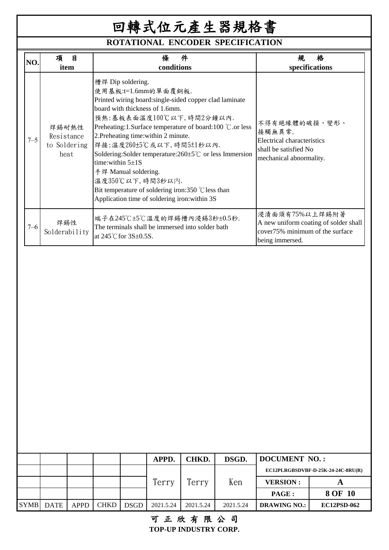## **ROTATIONAL ENCODER SPECIFICATION**

| 槽焊 Dip soldering.<br>使用基板:t=1.6mm的單面覆銅板.<br>Printed wiring board: single-sided copper clad laminate<br>board with thickness of 1.6mm.<br>預熱:基板表面溫度100℃以下,時間2分鐘以內.<br>不得有絕緣體的破損、變形、<br>Preheating:1.Surface temperature of board:100 ℃ or less<br>焊錫耐熱性<br>接觸無異常.<br>2. Preheating time: within 2 minute.<br>Resistance<br>$7 - 5$<br>Electrical characteristics<br>焊接:溫度260±5℃或以下,時間5±1秒以內.<br>to Soldering<br>shall be satisfied No<br>Soldering: Solder temperature: $260 \pm 5^{\circ}$ c or less Immersion<br>heat<br>mechanical abnormality.<br>time: within $5\pm 1$ S<br>手焊 Manual soldering.<br>溫度350℃以下,時間3秒以內.<br>Bit temperature of soldering iron:350 $\degree$ C less than<br>Application time of soldering iron: within 3S<br>浸漬面須有75%以上焊錫附著<br>端子在245℃±5℃温度的焊錫槽内浸錫3秒±0.5秒. | NO      | 項<br>目<br>item | 件<br>條<br>conditions                             | 格<br>規<br>specifications              |
|-------------------------------------------------------------------------------------------------------------------------------------------------------------------------------------------------------------------------------------------------------------------------------------------------------------------------------------------------------------------------------------------------------------------------------------------------------------------------------------------------------------------------------------------------------------------------------------------------------------------------------------------------------------------------------------------------------------------------------------------------------------------------------------------|---------|----------------|--------------------------------------------------|---------------------------------------|
|                                                                                                                                                                                                                                                                                                                                                                                                                                                                                                                                                                                                                                                                                                                                                                                           |         |                |                                                  |                                       |
| cover75% minimum of the surface<br>Solderability<br>at $245^{\circ}$ C for $3S\pm0.5S$ .<br>being immersed.                                                                                                                                                                                                                                                                                                                                                                                                                                                                                                                                                                                                                                                                               | $7 - 6$ | 焊錫性            | The terminals shall be immersed into solder bath | A new uniform coating of solder shall |

|             |             |      |             |             | <b>APPD.</b> | CHKD.     | DSGD.     | <b>DOCUMENT NO.:</b>               |                    |  |
|-------------|-------------|------|-------------|-------------|--------------|-----------|-----------|------------------------------------|--------------------|--|
|             |             |      |             |             |              |           |           | EC12PLRGBSDVBF-D-25K-24-24C-8RU(R) |                    |  |
|             |             |      |             |             | Terry        | Terry     | Ken       | <b>VERSION:</b>                    |                    |  |
|             |             |      |             |             |              |           |           | PAGE :                             | 8 OF 10            |  |
| <b>SYMB</b> | <b>DATE</b> | APPD | <b>CHKD</b> | <b>DSGD</b> | 2021.5.24    | 2021.5.24 | 2021.5.24 | <b>DRAWING NO.:</b>                | <b>EC12PSD-062</b> |  |

### 可正欣有限公司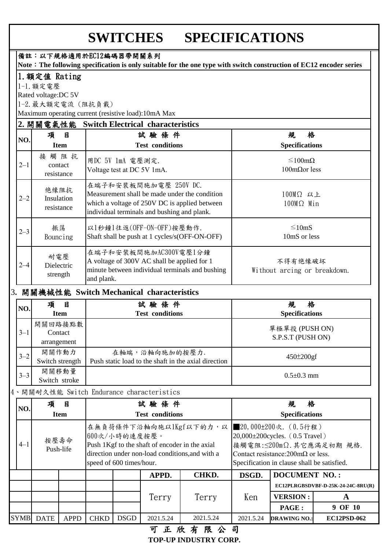## **SWITCHES SPECIFICATIONS**

|                                                                                                                                            |                                                                                                                                                                                                                   |                                  |                    | 備註:以下規格適用於EC12編碼器帶開關系列                         |                                                                      | Note: The following specification is only suitable for the one type with switch construction of EC12 encoder series |                                                                                                  |                                                   |                                    |  |
|--------------------------------------------------------------------------------------------------------------------------------------------|-------------------------------------------------------------------------------------------------------------------------------------------------------------------------------------------------------------------|----------------------------------|--------------------|------------------------------------------------|----------------------------------------------------------------------|---------------------------------------------------------------------------------------------------------------------|--------------------------------------------------------------------------------------------------|---------------------------------------------------|------------------------------------|--|
|                                                                                                                                            | 1. 額定值 Rating                                                                                                                                                                                                     |                                  |                    |                                                |                                                                      |                                                                                                                     |                                                                                                  |                                                   |                                    |  |
|                                                                                                                                            | 1-1. 額定電壓                                                                                                                                                                                                         |                                  |                    |                                                |                                                                      |                                                                                                                     |                                                                                                  |                                                   |                                    |  |
|                                                                                                                                            | Rated voltage:DC 5V                                                                                                                                                                                               |                                  |                    |                                                |                                                                      |                                                                                                                     |                                                                                                  |                                                   |                                    |  |
|                                                                                                                                            |                                                                                                                                                                                                                   |                                  | 1-2. 最大額定電流 (阻抗負載) |                                                |                                                                      |                                                                                                                     |                                                                                                  |                                                   |                                    |  |
|                                                                                                                                            |                                                                                                                                                                                                                   |                                  |                    |                                                | Maximum operating current (resistive load):10mA Max                  |                                                                                                                     |                                                                                                  |                                                   |                                    |  |
|                                                                                                                                            | 2. 開關電氣性能                                                                                                                                                                                                         |                                  |                    |                                                | <b>Switch Electrical characteristics</b>                             |                                                                                                                     |                                                                                                  |                                                   |                                    |  |
| NO.                                                                                                                                        | 項                                                                                                                                                                                                                 | 目<br><b>Item</b>                 |                    |                                                | 試驗條件<br><b>Test conditions</b>                                       |                                                                                                                     |                                                                                                  | 格<br>規<br><b>Specifications</b>                   |                                    |  |
| $2 - 1$                                                                                                                                    |                                                                                                                                                                                                                   | 接觸阻抗<br>contact<br>resistance    |                    | 用DC 5V 1mA 電壓測定.<br>Voltage test at DC 5V 1mA. |                                                                      |                                                                                                                     |                                                                                                  | $\leq 100$ m $\Omega$<br>$100$ m $\Omega$ or less |                                    |  |
| $2 - 2$                                                                                                                                    |                                                                                                                                                                                                                   | 绝缘阻抗<br>Insulation<br>resistance |                    |                                                | 在端子和安裝板間施加電壓 250V DC.<br>individual terminals and bushing and plank. | Measurement shall be made under the condition<br>which a voltage of 250V DC is applied between                      | 100MΩ 以上<br>$100M\Omega$ Min                                                                     |                                                   |                                    |  |
| $2 - 3$                                                                                                                                    | 振荡                                                                                                                                                                                                                | Bouncing                         |                    | 以1秒鐘1往返(OFF-ON-OFF)按壓動作.                       | Shaft shall be push at 1 cycles/s(OFF-ON-OFF)                        |                                                                                                                     | $\leq 10$ mS<br>10mS or less                                                                     |                                                   |                                    |  |
| $2 - 4$                                                                                                                                    | 在端子和安装板間施加AC300V電壓1分鐘<br>耐電壓<br>A voltage of 300V AC shall be applied for 1<br>不得有绝缘破坏<br>Dielectric<br>minute between individual terminals and bushing<br>Without arcing or breakdown.<br>strength<br>and plank. |                                  |                    |                                                |                                                                      |                                                                                                                     |                                                                                                  |                                                   |                                    |  |
| 3. 開關機械性能 Switch Mechanical characteristics                                                                                                |                                                                                                                                                                                                                   |                                  |                    |                                                |                                                                      |                                                                                                                     |                                                                                                  |                                                   |                                    |  |
| NO.                                                                                                                                        | 項                                                                                                                                                                                                                 | $\mathbf{B}$                     |                    |                                                | 試驗條件                                                                 |                                                                                                                     |                                                                                                  | 格<br>規                                            |                                    |  |
|                                                                                                                                            |                                                                                                                                                                                                                   | <b>Item</b>                      |                    |                                                | <b>Test conditions</b>                                               |                                                                                                                     |                                                                                                  | <b>Specifications</b>                             |                                    |  |
|                                                                                                                                            |                                                                                                                                                                                                                   | 開關回路接點數                          |                    |                                                |                                                                      |                                                                                                                     |                                                                                                  | 單極單投 (PUSHON)                                     |                                    |  |
| $3 - 1$                                                                                                                                    |                                                                                                                                                                                                                   | Contact                          |                    |                                                |                                                                      |                                                                                                                     |                                                                                                  | S.P.S.T (PUSH ON)                                 |                                    |  |
|                                                                                                                                            |                                                                                                                                                                                                                   | arrangement                      |                    |                                                |                                                                      |                                                                                                                     |                                                                                                  |                                                   |                                    |  |
| $3 - 2$                                                                                                                                    |                                                                                                                                                                                                                   | 開關作動力<br>Switch strength         |                    |                                                | 在軸端,沿軸向施加的按壓力.                                                       | Push static load to the shaft in the axial direction                                                                |                                                                                                  | $450 \pm 200 \text{gf}$                           |                                    |  |
| $3 - 3$                                                                                                                                    |                                                                                                                                                                                                                   | 開關移動量<br>Switch stroke           |                    |                                                |                                                                      |                                                                                                                     |                                                                                                  | $0.5 \pm 0.3$ mm                                  |                                    |  |
|                                                                                                                                            |                                                                                                                                                                                                                   |                                  |                    |                                                | 4、開關耐久性能 Switch Endurance characteristics                            |                                                                                                                     |                                                                                                  |                                                   |                                    |  |
|                                                                                                                                            | 項                                                                                                                                                                                                                 | 目                                |                    |                                                | 試驗條件                                                                 |                                                                                                                     |                                                                                                  | 格<br>規                                            |                                    |  |
| NO.                                                                                                                                        |                                                                                                                                                                                                                   | <b>Item</b>                      |                    |                                                | <b>Test conditions</b>                                               |                                                                                                                     |                                                                                                  | <b>Specifications</b>                             |                                    |  |
| $4 - 1$                                                                                                                                    |                                                                                                                                                                                                                   | 按壓壽命                             |                    | 600次/小時的速度按壓。                                  |                                                                      | 在無負荷條件下沿軸向施以1Kgf以下的力,以                                                                                              | ■20,000±200次. (0.5行程)<br>$20,000\pm 200$ cycles. (0.5 Travel)                                    |                                                   |                                    |  |
| Push 1Kgf to the shaft of encoder in the axial<br>Push-life<br>direction under non-load conditions, and with a<br>speed of 600 times/hour. |                                                                                                                                                                                                                   |                                  |                    |                                                |                                                                      |                                                                                                                     | Contact resistance: $200 \text{m}\Omega$ or less.<br>Specification in clause shall be satisfied. | 接觸電阻: ≤200mΩ. 其它應滿足初期 規格.                         |                                    |  |
|                                                                                                                                            |                                                                                                                                                                                                                   |                                  |                    |                                                | APPD.                                                                | CHKD.                                                                                                               | DSGD.                                                                                            | <b>DOCUMENT NO.:</b>                              |                                    |  |
|                                                                                                                                            |                                                                                                                                                                                                                   |                                  |                    |                                                |                                                                      |                                                                                                                     |                                                                                                  |                                                   | EC12PLRGBSDVBF-D-25K-24-24C-8RU(R) |  |
|                                                                                                                                            |                                                                                                                                                                                                                   |                                  |                    |                                                | Terry                                                                | Terry                                                                                                               | Ken                                                                                              | <b>VERSION:</b>                                   | A                                  |  |
|                                                                                                                                            |                                                                                                                                                                                                                   |                                  |                    |                                                |                                                                      |                                                                                                                     |                                                                                                  | PAGE:                                             | 9 OF 10                            |  |
| <b>SYMB</b>                                                                                                                                | <b>DATE</b>                                                                                                                                                                                                       | <b>APPD</b>                      | <b>CHKD</b>        | <b>DSGD</b>                                    | 2021.5.24                                                            | 2021.5.24                                                                                                           | 2021.5.24                                                                                        | <b>DRAWING NO.</b>                                | EC12PSD-062                        |  |
|                                                                                                                                            |                                                                                                                                                                                                                   |                                  |                    |                                                |                                                                      |                                                                                                                     |                                                                                                  |                                                   |                                    |  |

可正欣有限公司 **TOP-UP INDUSTRY CORP.**